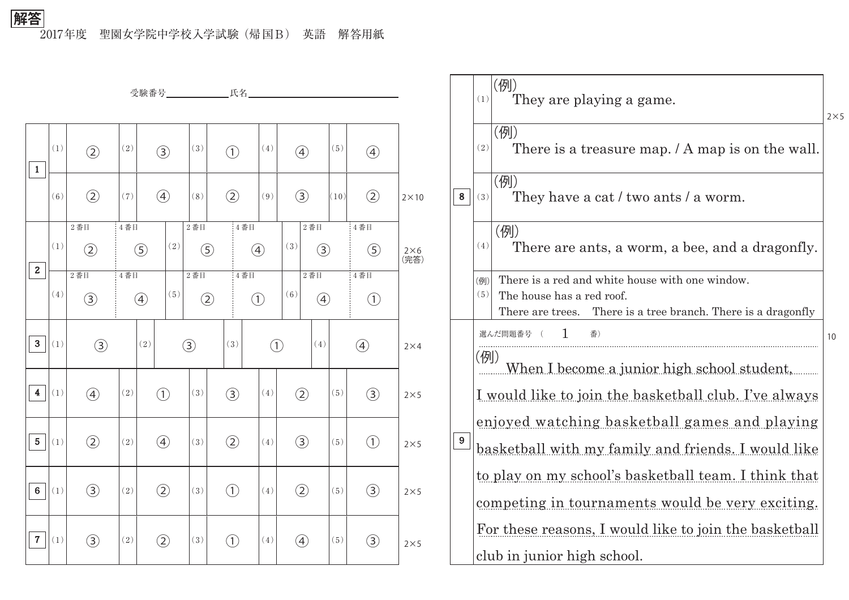2017年度 聖園女学院中学校入学試験(帰国B) 英語 解答用紙 **解答**

|                         |                       |               |                   | 受験番号_______________氏名____________ |                  |               |            |               |                   |                      |            |                  |              |                  |                     |
|-------------------------|-----------------------|---------------|-------------------|-----------------------------------|------------------|---------------|------------|---------------|-------------------|----------------------|------------|------------------|--------------|------------------|---------------------|
|                         |                       |               |                   |                                   |                  |               |            |               |                   |                      |            |                  |              |                  |                     |
| $\mathbf{1}$            | (1)                   | $\circled{2}$ | (2)               | $\circled{3}$                     |                  | (3)           |            | $\bigodot$    |                   | (4)                  |            | $\bigcircled{4}$ | (5)          | $\bigcirc$       |                     |
|                         | (6)                   | $\circled{2}$ | (7)               |                                   | $\bigcirc$       | (8)           |            | $\circled{2}$ |                   | $(9)$                |            | $\circled{3}$    | (10)         | $\circled{2}$    | $2 \times 10$       |
|                         |                       | $2$ 番目        | 4番目               |                                   |                  | $2$ 番目        |            | $4$ 番目        |                   |                      |            | $2$ 番目           |              | 4番目              |                     |
|                         | (1)                   | $\circled{2}$ |                   | $\circled{5}$                     | (2)              | $\circled{5}$ |            |               | $\left( 4\right)$ |                      | (3)        | $\circled{3}$    |              | $\circledS$      | $2\times 6$<br>(完答) |
| $\mathbf{2}$            |                       | $2$ 番目        | 4番目               |                                   |                  | $2$ 番目        |            | 4番目           |                   |                      |            | $2$ 番目           |              | 4番目              |                     |
|                         | (4)                   | $\circled{3}$ | $\bigcirc$        |                                   | (5)              | $\circled{2}$ |            | $\bigcirc$    |                   | (6)<br>$\circled{4}$ |            |                  | $\bigodot$   |                  |                     |
| 3 <sup>1</sup>          | (1)                   | $\circled{3}$ |                   | (2)                               |                  | $\circled{3}$ |            | (3)           |                   | $\bigcirc$           |            | (4)              |              | $\bigcircled{4}$ | $2\times4$          |
| $\overline{\mathbf{4}}$ | (1)                   | $\circled{4}$ | (2)               | $\bigodot$                        |                  | (3)           |            | $\circled{3}$ |                   | (4)                  |            | $\circled{2}$    | (5)          | $\circled{3}$    | $2\times 5$         |
| 5 <sub>1</sub>          | (1)                   | $\circled{2}$ | (2)               |                                   | $\bigcircled{4}$ | (3)           |            | $\circled{2}$ |                   | (4)                  |            | $\circled{3}$    | (5)          | $\bigcirc$       | $2\times 5$         |
| $6\phantom{1}$          | $\left( \,1\,\right)$ | $\circledS$   | $\left( 2\right)$ | $\circled{2}$                     |                  | (3)           |            | $\bigodot$    |                   | (4)                  |            | $\circled{2}$    | $(\sqrt{5})$ | $\circled{3}$    | $2\times 5$         |
| 7 <sup>1</sup>          | $\left( \,1\,\right)$ | $\circled{3}$ | $\left( 2\right)$ |                                   | $\circled{2}$    |               | $\bigodot$ |               |                   | (4)                  | $\bigcirc$ |                  | $(\sqrt{5})$ | $\circled{3}$    | $2\times 5$         |

|       | (1)                                                          | (例)<br>They are playing a game.                                                                                                               | $2\times 5$ |  |  |  |  |  |  |  |
|-------|--------------------------------------------------------------|-----------------------------------------------------------------------------------------------------------------------------------------------|-------------|--|--|--|--|--|--|--|
|       | (2)                                                          | (例)<br>There is a treasure map. / A map is on the wall.                                                                                       |             |  |  |  |  |  |  |  |
| 8     | (3)                                                          | (例)<br>They have a cat / two ants / a worm.                                                                                                   |             |  |  |  |  |  |  |  |
|       | (4)                                                          | (例)<br>There are ants, a worm, a bee, and a dragonfly.                                                                                        |             |  |  |  |  |  |  |  |
|       | (例)<br>(5)                                                   | There is a red and white house with one window.<br>The house has a red roof.<br>There are trees. There is a tree branch. There is a dragonfly |             |  |  |  |  |  |  |  |
| $9\,$ | 選んだ問題番号<br>番)                                                |                                                                                                                                               |             |  |  |  |  |  |  |  |
|       |                                                              | (例)<br>When I become a junior high school student,                                                                                            |             |  |  |  |  |  |  |  |
|       | <u>I would like to join the basketball club. I've always</u> |                                                                                                                                               |             |  |  |  |  |  |  |  |
|       | enjoyed watching basketball games and playing                |                                                                                                                                               |             |  |  |  |  |  |  |  |
|       | basketball with my family and friends. I would like          |                                                                                                                                               |             |  |  |  |  |  |  |  |
|       | to play on my school's basketball team. I think that         |                                                                                                                                               |             |  |  |  |  |  |  |  |
|       | competing in tournaments would be very exciting.             |                                                                                                                                               |             |  |  |  |  |  |  |  |
|       | For these reasons, I would like to join the basketball       |                                                                                                                                               |             |  |  |  |  |  |  |  |
|       |                                                              | club in junior high school.                                                                                                                   |             |  |  |  |  |  |  |  |